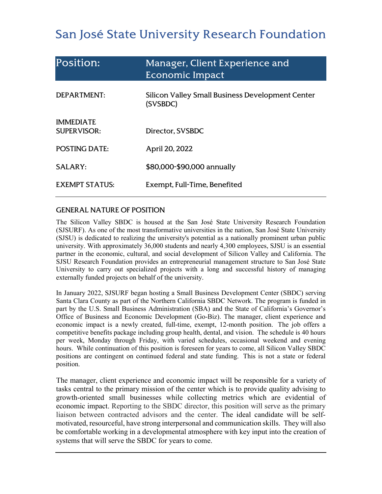# San José State University Research Foundation

| Position:                              | Manager, Client Experience and<br>Economic Impact            |
|----------------------------------------|--------------------------------------------------------------|
| <b>DEPARTMENT:</b>                     | Silicon Valley Small Business Development Center<br>(SVSBDC) |
| <b>IMMEDIATE</b><br><b>SUPERVISOR:</b> | Director, SVSBDC                                             |
| <b>POSTING DATE:</b>                   | April 20, 2022                                               |
| <b>SALARY:</b>                         | \$80,000-\$90,000 annually                                   |
| <b>EXEMPT STATUS:</b>                  | Exempt, Full-Time, Benefited                                 |

## GENERAL NATURE OF POSITION

The Silicon Valley SBDC is housed at the San José State University Research Foundation (SJSURF). As one of the most transformative universities in the nation, San José State University (SJSU) is dedicated to realizing the university's potential as a nationally prominent urban public university. With approximately 36,000 students and nearly 4,300 employees, SJSU is an essential partner in the economic, cultural, and social development of Silicon Valley and California. The SJSU Research Foundation provides an entrepreneurial management structure to San José State University to carry out specialized projects with a long and successful history of managing externally funded projects on behalf of the university.

In January 2022, SJSURF began hosting a Small Business Development Center (SBDC) serving Santa Clara County as part of the Northern California SBDC Network. The program is funded in part by the U.S. Small Business Administration (SBA) and the State of California's Governor's Office of Business and Economic Development (Go-Biz). The manager, client experience and economic impact is a newly created, full-time, exempt, 12-month position. The job offers a competitive benefits package including group health, dental, and vision. The schedule is 40 hours per week, Monday through Friday, with varied schedules, occasional weekend and evening hours. While continuation of this position is foreseen for years to come, all Silicon Valley SBDC positions are contingent on continued federal and state funding. This is not a state or federal position.

The manager, client experience and economic impact will be responsible for a variety of tasks central to the primary mission of the center which is to provide quality advising to growth-oriented small businesses while collecting metrics which are evidential of economic impact. Reporting to the SBDC director, this position will serve as the primary liaison between contracted advisors and the center. The ideal candidate will be selfmotivated, resourceful, have strong interpersonal and communication skills. They will also be comfortable working in a developmental atmosphere with key input into the creation of systems that will serve the SBDC for years to come.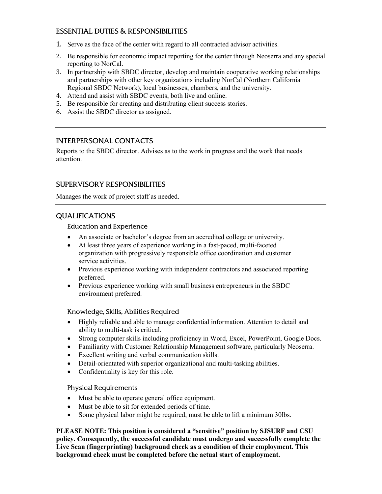# ESSENTIAL DUTIES & RESPONSIBILITIES

- 1. Serve as the face of the center with regard to all contracted advisor activities.
- 2. Be responsible for economic impact reporting for the center through Neoserra and any special reporting to NorCal.
- 3. In partnership with SBDC director, develop and maintain cooperative working relationships and partnerships with other key organizations including NorCal (Northern California Regional SBDC Network), local businesses, chambers, and the university.
- 4. Attend and assist with SBDC events, both live and online.
- 5. Be responsible for creating and distributing client success stories.
- 6. Assist the SBDC director as assigned.

## INTERPERSONAL CONTACTS

Reports to the SBDC director. Advises as to the work in progress and the work that needs attention.

## SUPERVISORY RESPONSIBILITIES

Manages the work of project staff as needed.

# QUALIFICATIONS

#### Education and Experience

- An associate or bachelor's degree from an accredited college or university.
- At least three years of experience working in a fast-paced, multi-faceted organization with progressively responsible office coordination and customer service activities.
- Previous experience working with independent contractors and associated reporting preferred.
- Previous experience working with small business entrepreneurs in the SBDC environment preferred.

#### Knowledge, Skills, Abilities Required

- Highly reliable and able to manage confidential information. Attention to detail and ability to multi-task is critical.
- Strong computer skills including proficiency in Word, Excel, PowerPoint, Google Docs.
- Familiarity with Customer Relationship Management software, particularly Neoserra.
- Excellent writing and verbal communication skills.
- Detail-orientated with superior organizational and multi-tasking abilities.
- Confidentiality is key for this role.

#### Physical Requirements

- Must be able to operate general office equipment.
- Must be able to sit for extended periods of time.
- Some physical labor might be required, must be able to lift a minimum 30lbs.

**PLEASE NOTE: This position is considered a "sensitive" position by SJSURF and CSU policy. Consequently, the successful candidate must undergo and successfully complete the Live Scan (fingerprinting) background check as a condition of their employment. This background check must be completed before the actual start of employment.**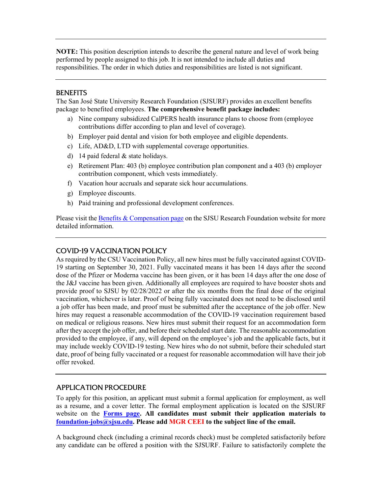**NOTE:** This position description intends to describe the general nature and level of work being performed by people assigned to this job. It is not intended to include all duties and responsibilities. The order in which duties and responsibilities are listed is not significant.

#### **BENEFITS**

The San José State University Research Foundation (SJSURF) provides an excellent benefits package to benefited employees. **The comprehensive benefit package includes:**

- a) Nine company subsidized CalPERS health insurance plans to choose from (employee contributions differ according to plan and level of coverage).
- b) Employer paid dental and vision for both employee and eligible dependents.
- c) Life, AD&D, LTD with supplemental coverage opportunities.
- d) 14 paid federal & state holidays.
- e) Retirement Plan: 403 (b) employee contribution plan component and a 403 (b) employer contribution component, which vests immediately.
- f) Vacation hour accruals and separate sick hour accumulations.
- g) Employee discounts.
- h) Paid training and professional development conferences.

Please visit th[e Benefits & Compensation page](https://www.sjsu.edu/researchfoundation/employees/benefits/index.php) on the SJSU Research Foundation website for more detailed information.

#### COVID-19 VACCINATION POLICY

As required by the CSU Vaccination Policy, all new hires must be fully vaccinated against COVID-19 starting on September 30, 2021. Fully vaccinated means it has been 14 days after the second dose of the Pfizer or Moderna vaccine has been given, or it has been 14 days after the one dose of the J&J vaccine has been given. Additionally all employees are required to have booster shots and provide proof to SJSU by 02/28/2022 or after the six months from the final dose of the original vaccination, whichever is later. Proof of being fully vaccinated does not need to be disclosed until a job offer has been made, and proof must be submitted after the acceptance of the job offer. New hires may request a reasonable accommodation of the COVID-19 vaccination requirement based on medical or religious reasons. New hires must submit their request for an accommodation form after they accept the job offer, and before their scheduled start date. The reasonable accommodation provided to the employee, if any, will depend on the employee's job and the applicable facts, but it may include weekly COVID-19 testing. New hires who do not submit, before their scheduled start date, proof of being fully vaccinated or a request for reasonable accommodation will have their job offer revoked.

#### APPLICATION PROCEDURE

To apply for this position, an applicant must submit a formal application for employment, as well as a resume, and a cover letter. The formal employment application is located on the SJSURF website on the **[Forms page.](https://www.sjsu.edu/researchfoundation/resources/forms/index.php) All candidates must submit their application materials to [foundation-jobs@sjsu.edu.](mailto:foundation-jobs@sjsu.edu) Please add MGR CEEI to the subject line of the email.**

A background check (including a criminal records check) must be completed satisfactorily before any candidate can be offered a position with the SJSURF. Failure to satisfactorily complete the